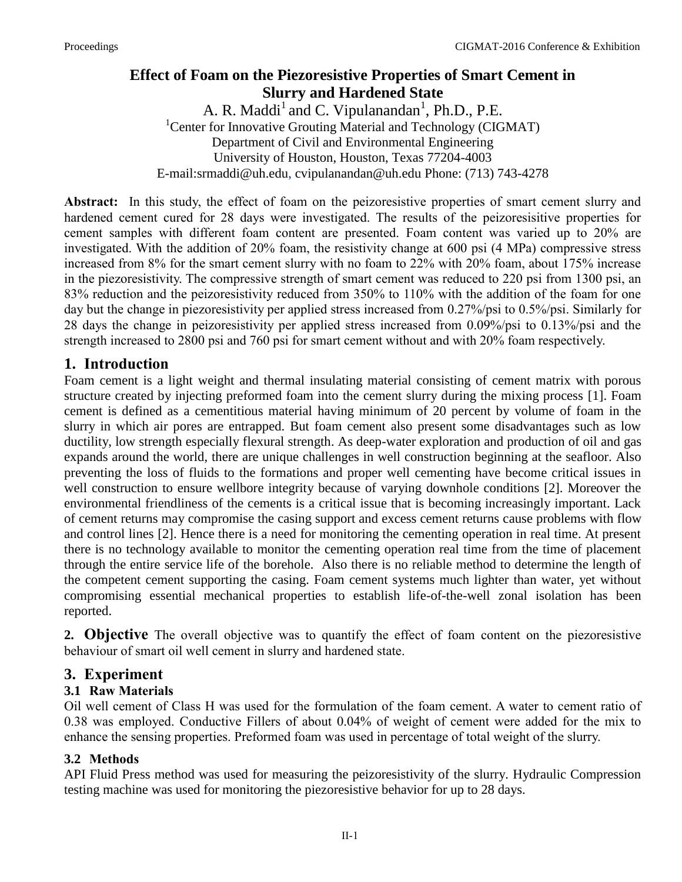# **Effect of Foam on the Piezoresistive Properties of Smart Cement in Slurry and Hardened State**

A. R. Maddi<sup>1</sup> and C. Vipulanandan<sup>1</sup>, Ph.D., P.E. <sup>1</sup>Center for Innovative Grouting Material and Technology (CIGMAT) Department of Civil and Environmental Engineering University of Houston, Houston, Texas 77204-4003 E-mail:srmaddi@uh.edu, cvipulanandan@uh.edu Phone: (713) 743-4278

**Abstract:** In this study, the effect of foam on the peizoresistive properties of smart cement slurry and hardened cement cured for 28 days were investigated. The results of the peizoresisitive properties for cement samples with different foam content are presented. Foam content was varied up to 20% are investigated. With the addition of 20% foam, the resistivity change at 600 psi (4 MPa) compressive stress increased from 8% for the smart cement slurry with no foam to 22% with 20% foam, about 175% increase in the piezoresistivity. The compressive strength of smart cement was reduced to 220 psi from 1300 psi, an 83% reduction and the peizoresistivity reduced from 350% to 110% with the addition of the foam for one day but the change in piezoresistivity per applied stress increased from 0.27%/psi to 0.5%/psi. Similarly for 28 days the change in peizoresistivity per applied stress increased from 0.09%/psi to 0.13%/psi and the strength increased to 2800 psi and 760 psi for smart cement without and with 20% foam respectively.

## **1. Introduction**

Foam cement is a light weight and thermal insulating material consisting of cement matrix with porous structure created by injecting preformed foam into the cement slurry during the mixing process [1]. Foam cement is defined as a cementitious material having minimum of 20 percent by volume of foam in the slurry in which air pores are entrapped. But foam cement also present some disadvantages such as low ductility, low strength especially flexural strength. As deep-water exploration and production of oil and gas expands around the world, there are unique challenges in well construction beginning at the seafloor. Also preventing the loss of fluids to the formations and proper well cementing have become critical issues in well construction to ensure wellbore integrity because of varying downhole conditions [2]. Moreover the environmental friendliness of the cements is a critical issue that is becoming increasingly important. Lack of cement returns may compromise the casing support and excess cement returns cause problems with flow and control lines [2]. Hence there is a need for monitoring the cementing operation in real time. At present there is no technology available to monitor the cementing operation real time from the time of placement through the entire service life of the borehole. Also there is no reliable method to determine the length of the competent cement supporting the casing. Foam cement systems much lighter than water, yet without compromising essential mechanical properties to establish life-of-the-well zonal isolation has been reported.

**2. Objective** The overall objective was to quantify the effect of foam content on the piezoresistive behaviour of smart oil well cement in slurry and hardened state.

## **3. Experiment**

### **3.1 Raw Materials**

Oil well cement of Class H was used for the formulation of the foam cement. A water to cement ratio of 0.38 was employed. Conductive Fillers of about 0.04% of weight of cement were added for the mix to enhance the sensing properties. Preformed foam was used in percentage of total weight of the slurry.

### **3.2 Methods**

API Fluid Press method was used for measuring the peizoresistivity of the slurry. Hydraulic Compression testing machine was used for monitoring the piezoresistive behavior for up to 28 days.